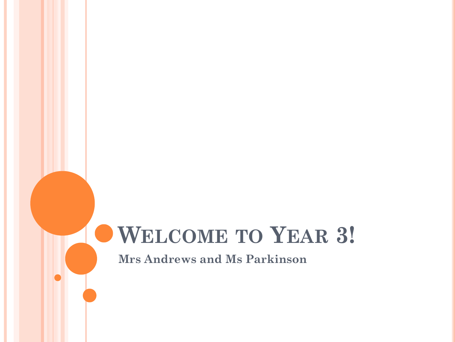# **WELCOME TO YEAR 3!**

**Mrs Andrews and Ms Parkinson**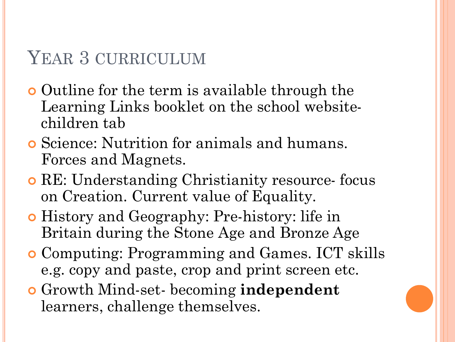# YEAR 3 CURRICULUM

- **o** Outline for the term is available through the Learning Links booklet on the school websitechildren tab
- Science: Nutrition for animals and humans. Forces and Magnets.
- RE: Understanding Christianity resource- focus on Creation. Current value of Equality.
- History and Geography: Pre-history: life in Britain during the Stone Age and Bronze Age
- Computing: Programming and Games. ICT skills e.g. copy and paste, crop and print screen etc.
- Growth Mind-set- becoming **independent**  learners, challenge themselves.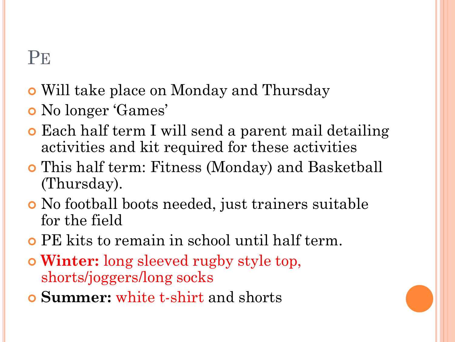# **PE**

- Will take place on Monday and Thursday
- No longer 'Games'
- Each half term I will send a parent mail detailing activities and kit required for these activities
- This half term: Fitness (Monday) and Basketball (Thursday).
- No football boots needed, just trainers suitable for the field
- PE kits to remain in school until half term.
- **Winter:** long sleeved rugby style top, shorts/joggers/long socks
- **Summer:** white t-shirt and shorts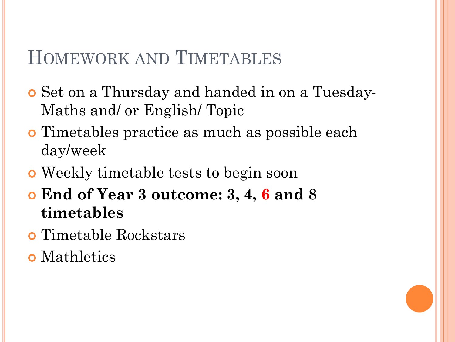### HOMEWORK AND TIMETABLES

- Set on a Thursday and handed in on a Tuesday-Maths and/ or English/ Topic
- Timetables practice as much as possible each day/week
- Weekly timetable tests to begin soon
- **End of Year 3 outcome: 3, 4, 6 and 8 timetables**
- Timetable Rockstars
- **o** Mathletics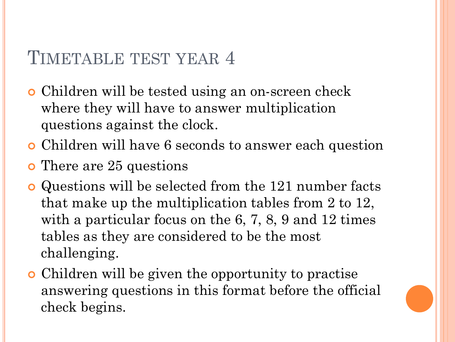### TIMETABLE TEST YEAR 4

- Children will be tested using an on-screen check where they will have to answer multiplication questions against the clock.
- Children will have 6 seconds to answer each question
- **o** There are 25 questions
- Questions will be selected from the 121 number facts that make up the multiplication tables from 2 to 12, with a particular focus on the 6, 7, 8, 9 and 12 times tables as they are considered to be the most challenging.
- Children will be given the opportunity to practise answering questions in this format before the official check begins.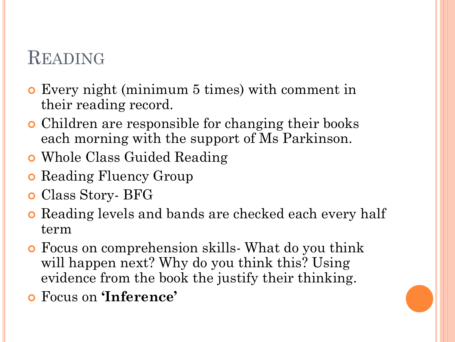# **READING**

- Every night (minimum 5 times) with comment in their reading record.
- Children are responsible for changing their books each morning with the support of Ms Parkinson.
- Whole Class Guided Reading
- **o** Reading Fluency Group
- Class Story- BFG
- **•** Reading levels and bands are checked each every half term
- Focus on comprehension skills- What do you think will happen next? Why do you think this? Using evidence from the book the justify their thinking.
- Focus on **'Inference'**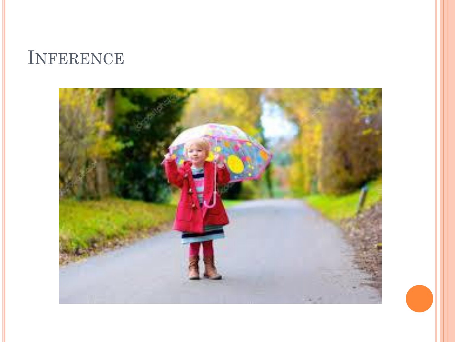# INFERENCE

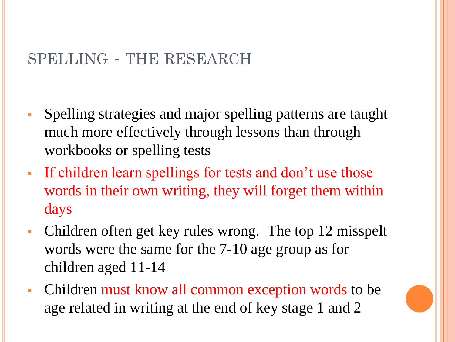### SPELLING - THE RESEARCH

- Spelling strategies and major spelling patterns are taught much more effectively through lessons than through workbooks or spelling tests
- If children learn spellings for tests and don't use those words in their own writing, they will forget them within days
- Children often get key rules wrong. The top 12 misspelt words were the same for the 7-10 age group as for children aged 11-14
- Children must know all common exception words to be age related in writing at the end of key stage 1 and 2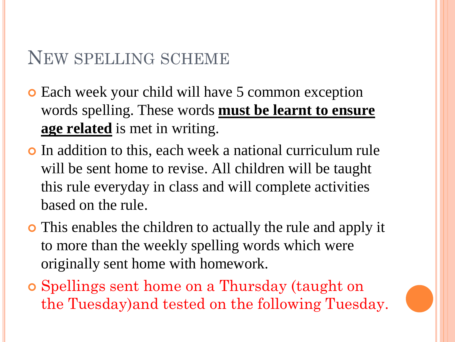### NEW SPELLING SCHEME

- **o** Each week your child will have 5 common exception words spelling. These words **must be learnt to ensure age related** is met in writing.
- In addition to this, each week a national curriculum rule will be sent home to revise. All children will be taught this rule everyday in class and will complete activities based on the rule.
- This enables the children to actually the rule and apply it to more than the weekly spelling words which were originally sent home with homework.
- Spellings sent home on a Thursday (taught on the Tuesday)and tested on the following Tuesday.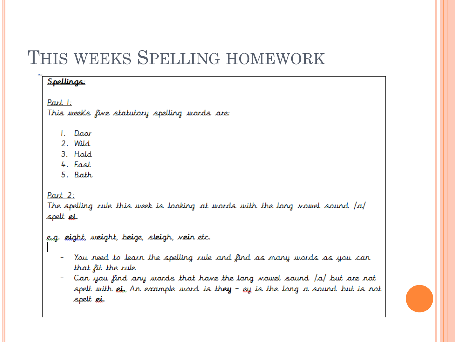### THIS WEEKS SPELLING HOMEWORK

#### Spellings:

Part 1: This week's five statutory spelling words are:

- $L$  Door
- 2. Wild
- 3. Hold
- 4. Fast
- 5. Bath

Part 2:

The spelling rule this week is looking at wards with the lang nawel saund  $|a|$ spelt ei.

e.g. eight, weight, beige, sleigh, vein etc.

- You need to learn the spelling rule and find as many words as you can that fit the rule
- Can you find any words that have the long vowel sound /a/ but are not spelt with  $e$ i,  $\lambda$ n example word is they –  $e$ y is the long a sound but is not spelt ei.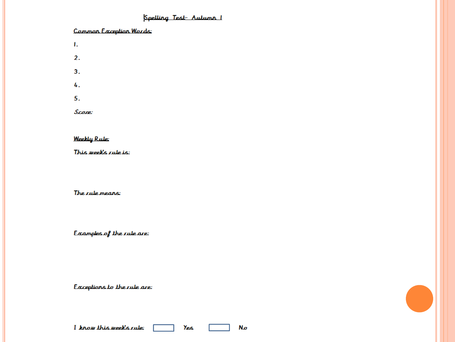#### Spelling Test-Autumn 1

#### Common Exception Words:

- $\mathbf{L}$
- $2.$
- $3<sub>1</sub>$
- 4.
- 5.

Score:

#### **Weekly Rule:**

This weeks rule is:

The rule means:

Examples of the rule are:

Exceptions to the rule are:

Yes.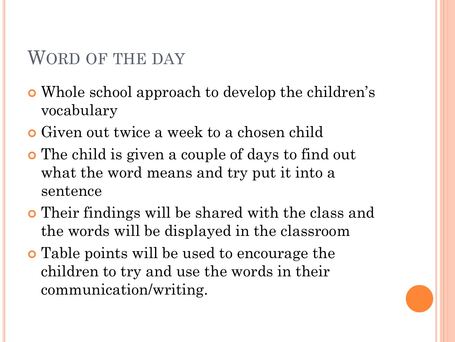### WORD OF THE DAY

- Whole school approach to develop the children's vocabulary
- Given out twice a week to a chosen child
- The child is given a couple of days to find out what the word means and try put it into a sentence
- Their findings will be shared with the class and the words will be displayed in the classroom
- **•** Table points will be used to encourage the children to try and use the words in their communication/writing.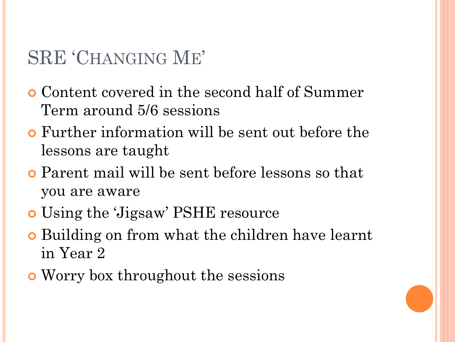# SRE 'CHANGING ME'

- Content covered in the second half of Summer Term around 5/6 sessions
- Further information will be sent out before the lessons are taught
- Parent mail will be sent before lessons so that you are aware
- Using the 'Jigsaw' PSHE resource
- Building on from what the children have learnt in Year 2
- Worry box throughout the sessions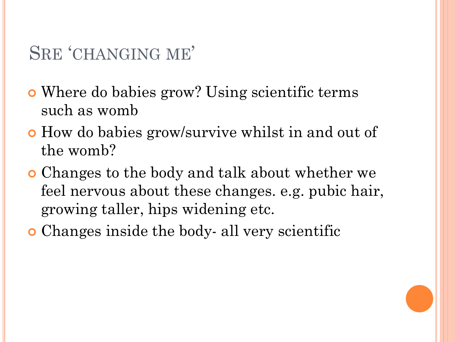# SRE 'CHANGING ME'

- Where do babies grow? Using scientific terms such as womb
- How do babies grow/survive whilst in and out of the womb?
- Changes to the body and talk about whether we feel nervous about these changes. e.g. pubic hair, growing taller, hips widening etc.
- Changes inside the body- all very scientific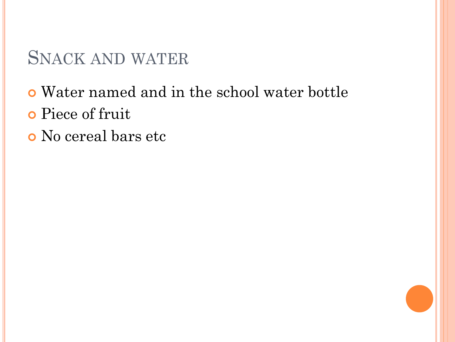# SNACK AND WATER

- Water named and in the school water bottle
- Piece of fruit
- No cereal bars etc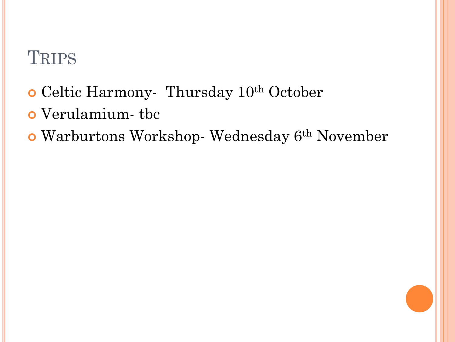# **TRIPS**

- Celtic Harmony- Thursday 10th October
- Verulamium- tbc
- Warburtons Workshop- Wednesday 6th November